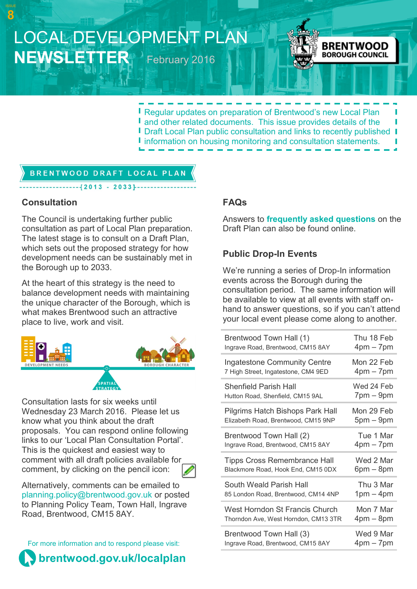# LOCAL DEVELOPMENT PLAN **NEWSLETTER** February 2016



**Regular updates on preparation of Brentwood's new Local Plan** I and other related documents. This issue provides details of the **I** Draft Local Plan public consultation and links to recently published **I I** information on housing monitoring and consultation statements.

## **BRENTWOOD DRAFT LOCAL PLAN**

 $-[2013 - 2033]$ --

#### **Consultation**

**8**

The Council is undertaking further public consultation as part of Local Plan preparation. The latest stage is to consult on a Draft Plan, which sets out the proposed strategy for how development needs can be sustainably met in the Borough up to 2033.

At the heart of this strategy is the need to balance development needs with maintaining the unique character of the Borough, which is what makes Brentwood such an attractive place to live, work and visit.



Consultation lasts for six weeks until Wednesday 23 March 2016. Please let us know what you think about the draft proposals. You can respond online following links to our 'Local Plan Consultation Portal'. This is the quickest and easiest way to comment with all draft policies available for comment, by clicking on the pencil icon:

Alternatively, comments can be emailed to [planning.policy@brentwood.gov.uk](mailto:planning.policy@brentwood.gov.uk) or posted to Planning Policy Team, Town Hall, Ingrave Road, Brentwood, CM15 8AY.

For more information and to respond please visit:



#### **FAQs**

Answers to **[frequently asked questions](http://www.brentwood.gov.uk/index.php?cid=2623)** on the Draft Plan can also be found online.

## **Public Drop-In Events**

We're running a series of Drop-In information events across the Borough during the consultation period. The same information will be available to view at all events with staff onhand to answer questions, so if you can't attend your local event please come along to another.

| Brentwood Town Hall (1)              | Thu 18 Feb     |
|--------------------------------------|----------------|
| Ingrave Road, Brentwood, CM15 8AY    | $4pm - 7pm$    |
| <b>Ingatestone Community Centre</b>  | Mon 22 Feb     |
| 7 High Street, Ingatestone, CM4 9ED  | $4pm - 7pm$    |
| <b>Shenfield Parish Hall</b>         | Wed 24 Feb     |
| Hutton Road, Shenfield, CM15 9AL     | $7$ pm $-9$ pm |
| Pilgrims Hatch Bishops Park Hall     | Mon 29 Feb     |
| Elizabeth Road, Brentwood, CM15 9NP  | $5pm - 9pm$    |
| Brentwood Town Hall (2)              | Tue 1 Mar      |
| Ingrave Road, Brentwood, CM15 8AY    | $4pm - 7pm$    |
| <b>Tipps Cross Remembrance Hall</b>  | Wed 2 Mar      |
| Blackmore Road, Hook End, CM15 0DX   | $6pm - 8pm$    |
| South Weald Parish Hall              | Thu 3 Mar      |
| 85 London Road, Brentwood, CM14 4NP  | $1pm - 4pm$    |
| West Horndon St Francis Church       | Mon 7 Mar      |
| Thorndon Ave, West Horndon, CM13 3TR | $4pm - 8pm$    |
| Brentwood Town Hall (3)              | Wed 9 Mar      |
| Ingrave Road, Brentwood, CM15 8AY    | $4pm - 7pm$    |